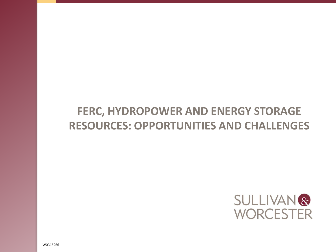### **FERC, HYDROPOWER AND ENERGY STORAGE RESOURCES: OPPORTUNITIES AND CHALLENGES**

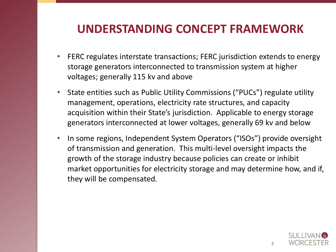#### **UNDERSTANDING CONCEPT FRAMEWORK**

- <span id="page-1-0"></span>• FERC regulates interstate transactions; FERC jurisdiction extends to energy storage generators interconnected to transmission system at higher voltages; generally 115 kv and above
- State entities such as Public Utility Commissions ("PUCs") regulate utility management, operations, electricity rate structures, and capacity acquisition within their State's jurisdiction. Applicable to energy storage generators interconnected at lower voltages, generally 69 kv and below
- In some regions, Independent System Operators ("ISOs") provide oversight of transmission and generation. This multi-level oversight impacts the growth of the storage industry because policies can create or inhibit market opportunities for electricity storage and may determine how, and if, they will be compensated.

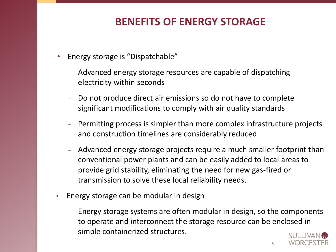#### **BENEFITS OF ENERGY STORAGE**

- Energy storage is "Dispatchable"
	- Advanced energy storage resources are capable of dispatching electricity within seconds
	- Do not produce direct air emissions so do not have to complete significant modifications to comply with air quality standards
	- $\blacksquare$  Permitting process is simpler than more complex infrastructure projects and construction timelines are considerably reduced
	- Advanced energy storage projects require a much smaller footprint than conventional power plants and can be easily added to local areas to provide grid stability, eliminating the need for new gas-fired or transmission to solve these local reliability needs.
- Energy storage can be modular in design
	- Energy storage systems are often modular in design, so the components to operate and interconnect the storage resource can be enclo[sed in](#page-1-0) simple containerized structures.

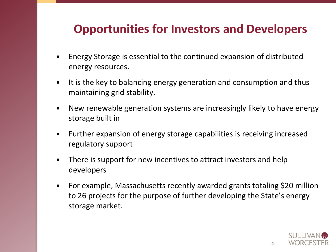#### <span id="page-3-0"></span>**Opportunities for Investors and Developers**

- Energy Storage is essential to the continued expansion of distributed energy resources.
- It is the key to balancing energy generation and consumption and thus maintaining grid stability.
- New renewable generation systems are increasingly likely to have energy storage built in
- Further expansion of energy storage capabilities is receiving increased regulatory support
- There is support for new incentives to attract investors and help developers
- For example, Massachusetts recently awarded grants totaling \$20 million to 26 projects for the purpose of further developing the State's energy storage market.

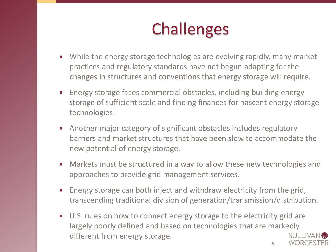# **Challenges**

- While the energy storage technologies are evolving rapidly, many market practices and regulatory standards have not begun adapting for the changes in structures and conventions that energy storage will require.
- Energy storage faces commercial obstacles, including building energy storage of sufficient scale and finding finances for nascent energy storage technologies.
- Another major category of significant obstacles includes regulatory barriers and market structures that have been slow to accommodate the new potential of energy storage.
- Markets must be structured in a way to allow these new technologies and approaches to provide grid management services.
- Energy storage can both inject and withdraw electricity from the grid, transcending traditional division of generation/transmission/distribution.
- U.S. rules on how to connect energy storage to the electricity grid are largely poorly defined and based on technologies that are marke[dly](#page-3-0)  different from energy storage. **5**

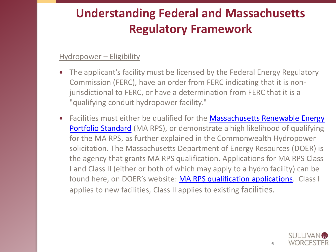### **Understanding Federal and Massachusetts Regulatory Framework**

#### Hydropower – Eligibility

- The applicant's facility must be licensed by the Federal Energy Regulatory Commission (FERC), have an order from FERC indicating that it is nonjurisdictional to FERC, or have a determination from FERC that it is a "qualifying conduit hydropower facility."
- Facilities must either be qualified for the **Massachusetts Renewable Energy** Portfolio Standard (MA RPS), or demonstrate a high likelihood of qualifying for the MA RPS, as further explained in the Commonwealth Hydropower solicitation. The Massachusetts Department of Energy Resources (DOER) is the agency that grants MA RPS qualification. Applications for MA RPS Class I and Class II (either or both of which may apply to a hydro facility) can be found here, on DOER's website: [MA RPS qualification applications](http://www.mass.gov/eea/energy-utilities-clean-tech/renewable-energy/rps-aps/rps-aps-sqa/). Class I applies to new facilities, Class II applies to existing facilities.

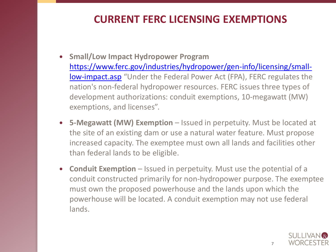#### **CURRENT FERC LICENSING EXEMPTIONS**

- **Small/Low Impact Hydropower Program** [https://www.ferc.gov/industries/hydropower/gen-info/licensing/small](https://www.ferc.gov/industries/hydropower/gen-info/licensing/small-low-impact.asp)low-impact.asp "Under the Federal Power Act (FPA), FERC regulates the nation's non-federal hydropower resources. FERC issues three types of development authorizations: conduit exemptions, 10-megawatt (MW) exemptions, and licenses".
- **5-Megawatt (MW) Exemption** Issued in perpetuity. Must be located at the site of an existing dam or use a natural water feature. Must propose increased capacity. The exemptee must own all lands and facilities other than federal lands to be eligible.
- **Conduit Exemption** Issued in perpetuity. Must use the potential of a conduit constructed primarily for non-hydropower purpose. The exemptee must own the proposed powerhouse and the lands upon which the powerhouse will be located. A conduit exemption may not use federal lands.

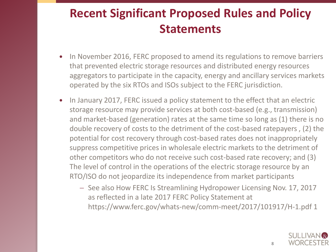### <span id="page-7-0"></span>**Recent Significant Proposed Rules and Policy Statements**

- In November 2016, FERC proposed to amend its regulations to remove barriers that prevented electric storage resources and distributed energy resources aggregators to participate in the capacity, energy and ancillary services markets operated by the six RTOs and ISOs subject to the FERC jurisdiction.
- In January 2017, FERC issued a policy statement to the effect that an electric storage resource may provide services at both cost-based (e.g., transmission) and market-based (generation) rates at the same time so long as (1) there is no double recovery of costs to the detriment of the cost-based ratepayers , (2) the potential for cost recovery through cost-based rates does not inappropriately suppress competitive prices in wholesale electric markets to the detriment of other competitors who do not receive such cost-based rate recovery; and (3) The level of control in the operations of the electric storage resource by an RTO/ISO do not jeopardize its independence from market participants
	- See also How FERC Is Streamlining Hydropower Licensing Nov. 17, 2017 as reflected in a late 2017 FERC Policy Statement at https://www.ferc.gov/whats-new/comm-meet/2017/101917/H-1.pdf 1

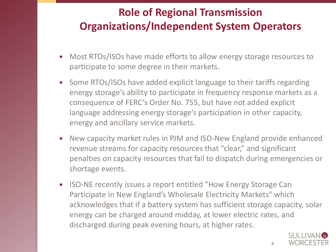### **Role of Regional Transmission Organizations/Independent System Operators**

- Most RTOs/ISOs have made efforts to allow energy storage resources to participate to some degree in their markets.
- Some RTOs/ISOs have added explicit language to their tariffs regarding energy storage's ability to participate in frequency response markets as a consequence of FERC's Order No. 755, but have not added explicit language addressing energy storage's participation in other capacity, energy and ancillary service markets.
- New capacity market rules in PJM and ISO-New England provide enhanced revenue streams for capacity resources that "clear," and significant penalties on capacity resources that fail to dispatch during emergencies or shortage events.
- ISO-NE recently issues a report entitled "How Energy Storage Can Participate in New England's Wholesale Electricity Markets" which acknowledges that if a battery system has sufficient storage capacity, solar energy can be charged around midday, at lower electric rates, an[d](#page-7-0)  discharged during peak evening hours, at higher rates.

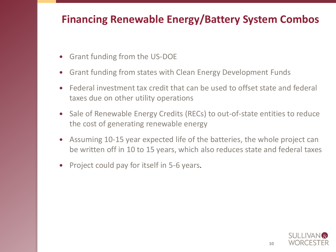#### **Financing Renewable Energy/Battery System Combos**

- Grant funding from the US-DOE
- Grant funding from states with Clean Energy Development Funds
- Federal investment tax credit that can be used to offset state and federal taxes due on other utility operations
- Sale of Renewable Energy Credits (RECs) to out-of-state entities to reduce the cost of generating renewable energy
- Assuming 10-15 year expected life of the batteries, the whole project can be written off in 10 to 15 years, which also reduces state and federal taxes
- Project could pay for itself in 5-6 years.

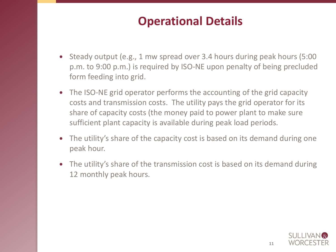### **Operational Details**

- Steady output (e.g., 1 mw spread over 3.4 hours during peak hours (5:00 p.m. to 9:00 p.m.) is required by ISO-NE upon penalty of being precluded form feeding into grid.
- The ISO-NE grid operator performs the accounting of the grid capacity costs and transmission costs. The utility pays the grid operator for its share of capacity costs (the money paid to power plant to make sure sufficient plant capacity is available during peak load periods.
- The utility's share of the capacity cost is based on its demand during one peak hour.
- The utility's share of the transmission cost is based on its demand during 12 monthly peak hours.

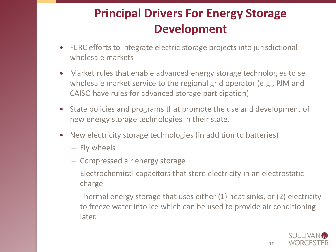## **Principal Drivers For Energy Storage Development**

- <span id="page-11-0"></span> FERC efforts to integrate electric storage projects into jurisdictional wholesale markets
- Market rules that enable advanced energy storage technologies to sell wholesale market service to the regional grid operator (e.g., PJM and CAISO have rules for advanced storage participation)
- State policies and programs that promote the use and development of new energy storage technologies in their state.
- New electricity storage technologies (in addition to batteries)
	- $-$  Fly wheels
	- Compressed air energy storage
	- Electrochemical capacitors that store electricity in an electrostatic charge
	- Thermal energy storage that uses either (1) heat sinks, or (2) electricity to freeze water into ice which can be used to provide air conditioning later.